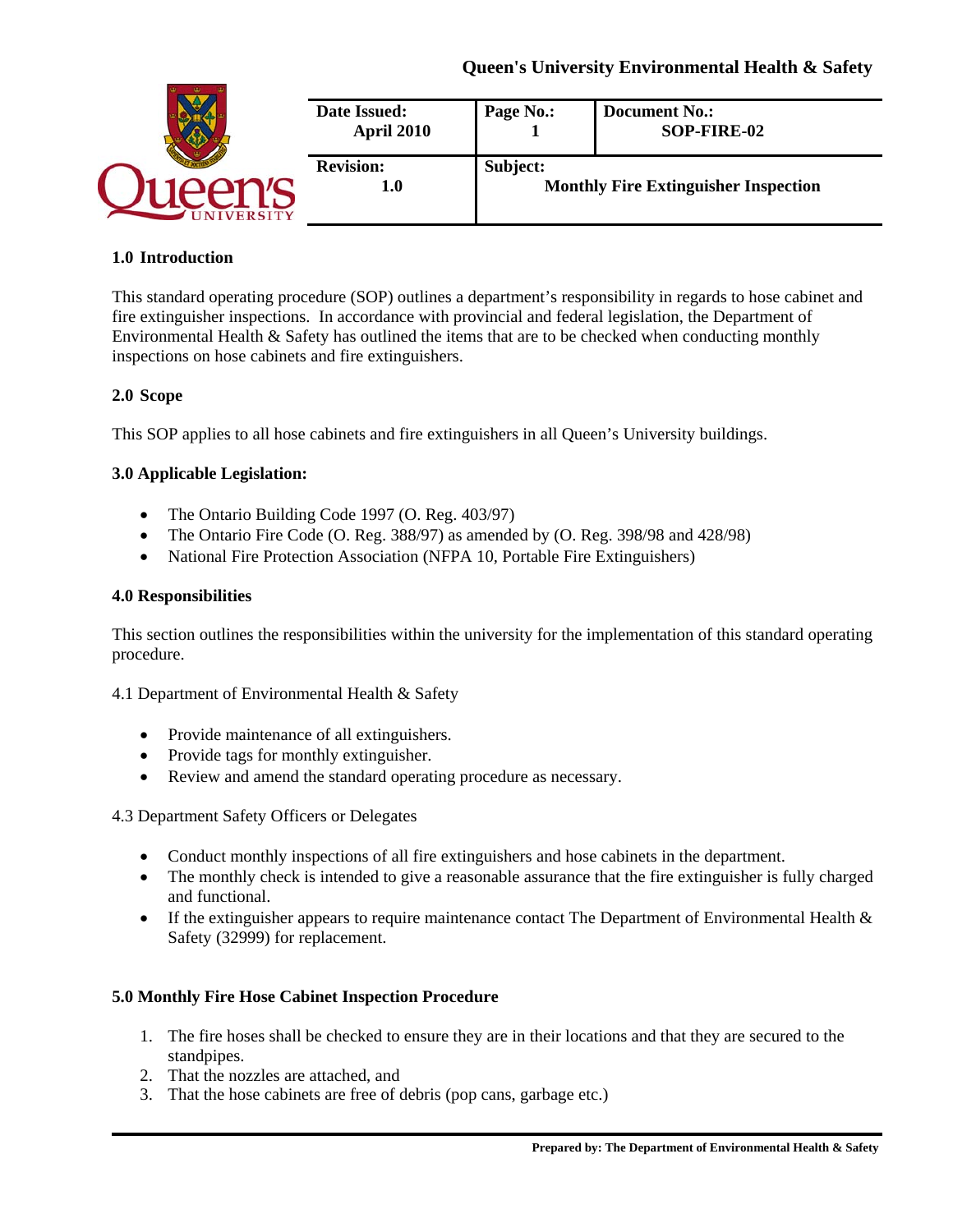| Date Issued:<br><b>April 2010</b> | Page No.: | <b>Document No.:</b><br>SOP-FIRE-02         |
|-----------------------------------|-----------|---------------------------------------------|
| <b>Revision:</b><br>1.0           | Subject:  | <b>Monthly Fire Extinguisher Inspection</b> |

### **1.0 Introduction**

This standard operating procedure (SOP) outlines a department's responsibility in regards to hose cabinet and fire extinguisher inspections. In accordance with provincial and federal legislation, the Department of Environmental Health & Safety has outlined the items that are to be checked when conducting monthly inspections on hose cabinets and fire extinguishers.

### **2.0 Scope**

This SOP applies to all hose cabinets and fire extinguishers in all Queen's University buildings.

### **3.0 Applicable Legislation:**

- The Ontario Building Code 1997 (O. Reg. 403/97)
- The Ontario Fire Code (O. Reg. 388/97) as amended by (O. Reg. 398/98 and 428/98)
- National Fire Protection Association (NFPA 10*,* Portable Fire Extinguishers)

### **4.0 Responsibilities**

This section outlines the responsibilities within the university for the implementation of this standard operating procedure.

4.1 Department of Environmental Health & Safety

- Provide maintenance of all extinguishers.
- Provide tags for monthly extinguisher.
- Review and amend the standard operating procedure as necessary.

4.3 Department Safety Officers or Delegates

- Conduct monthly inspections of all fire extinguishers and hose cabinets in the department.
- The monthly check is intended to give a reasonable assurance that the fire extinguisher is fully charged and functional.
- If the extinguisher appears to require maintenance contact The Department of Environmental Health & Safety (32999) for replacement.

### **5.0 Monthly Fire Hose Cabinet Inspection Procedure**

- 1. The fire hoses shall be checked to ensure they are in their locations and that they are secured to the standpipes.
- 2. That the nozzles are attached, and
- 3. That the hose cabinets are free of debris (pop cans, garbage etc.)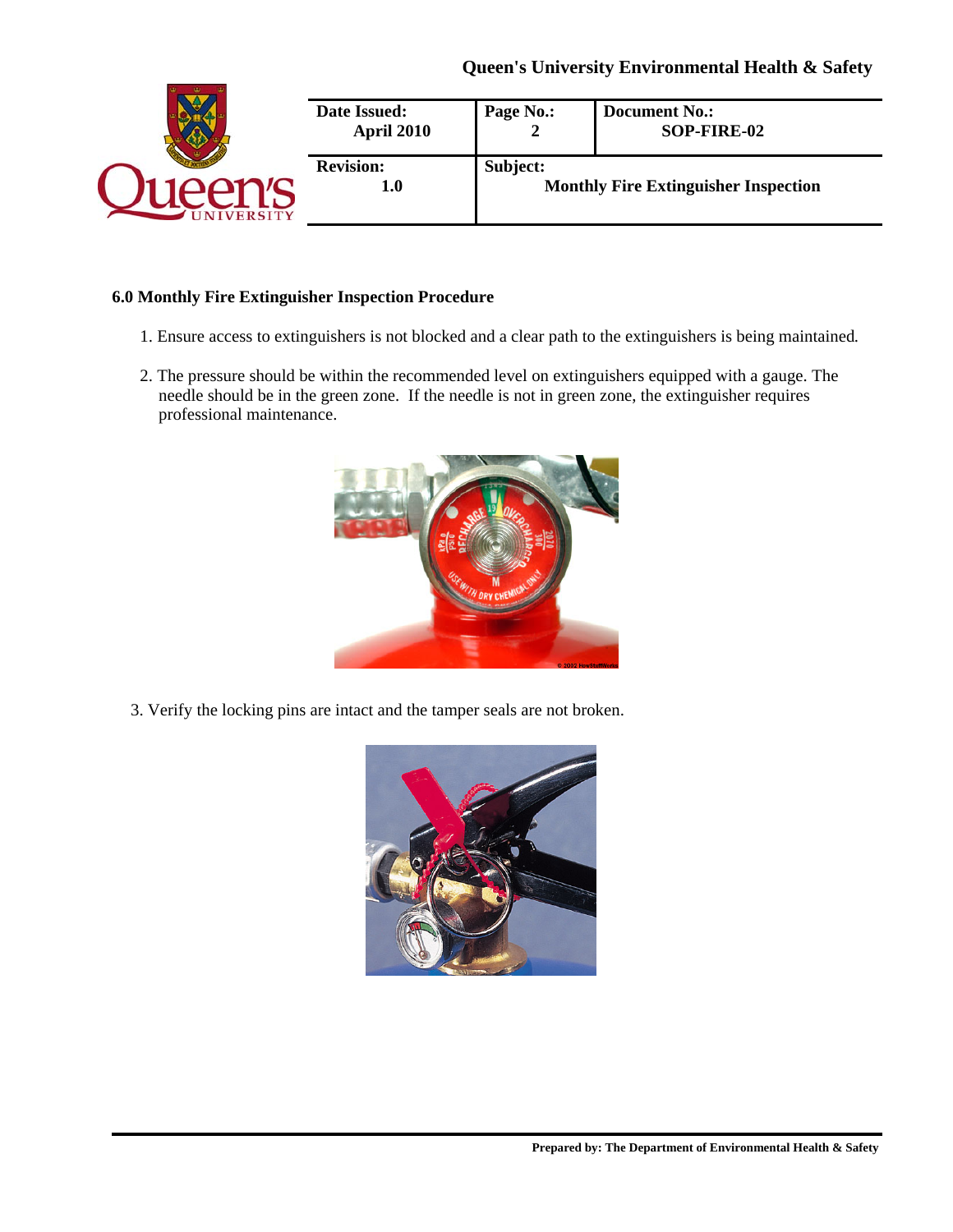|                | Date Issued:<br>April 2010  | Page No.: | <b>Document No.:</b><br>SOP-FIRE-02         |
|----------------|-----------------------------|-----------|---------------------------------------------|
| <b>VERSITY</b> | <b>Revision:</b><br>$1.0\,$ | Subject:  | <b>Monthly Fire Extinguisher Inspection</b> |

### **6.0 Monthly Fire Extinguisher Inspection Procedure**

- 1. Ensure access to extinguishers is not blocked and a clear path to the extinguishers is being maintained*.*
- 2. The pressure should be within the recommended level on extinguishers equipped with a gauge. The needle should be in the green zone. If the needle is not in green zone, the extinguisher requires professional maintenance.



3. Verify the locking pins are intact and the tamper seals are not broken.

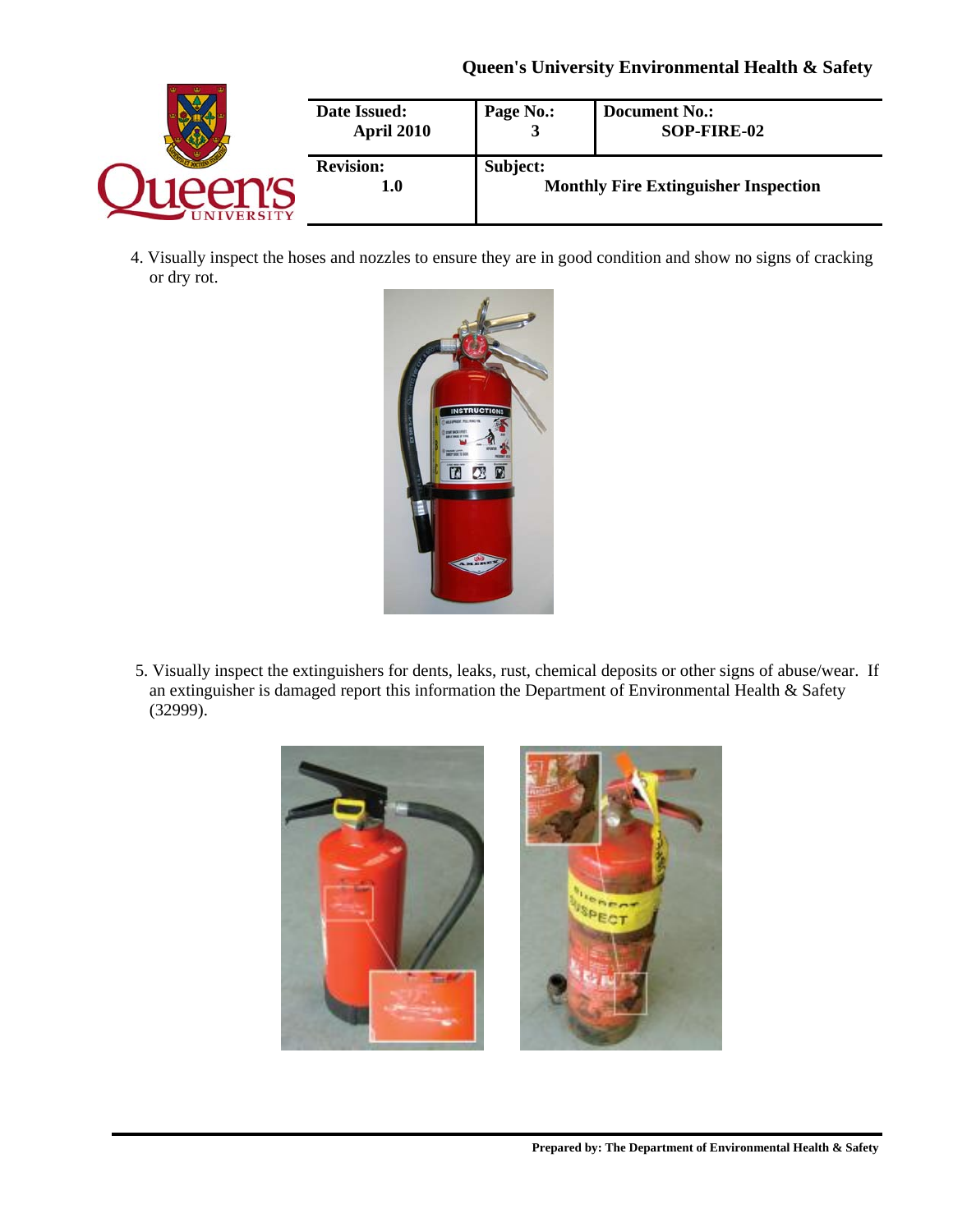|                | Date Issued:<br>April 2010 | Page No.: | <b>Document No.:</b><br>SOP-FIRE-02         |
|----------------|----------------------------|-----------|---------------------------------------------|
| <b>VERSITY</b> | <b>Revision:</b><br>1.0    | Subject:  | <b>Monthly Fire Extinguisher Inspection</b> |

4. Visually inspect the hoses and nozzles to ensure they are in good condition and show no signs of cracking or dry rot.



5. Visually inspect the extinguishers for dents, leaks, rust, chemical deposits or other signs of abuse/wear. If an extinguisher is damaged report this information the Department of Environmental Health & Safety (32999).